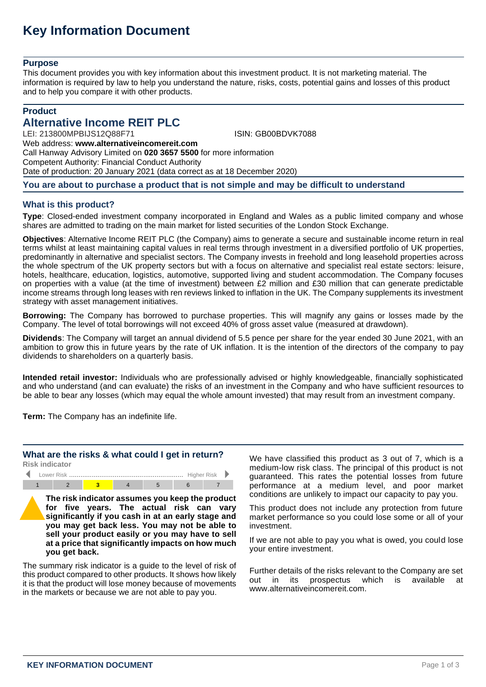# **Key Information Document**

#### **Purpose**

This document provides you with key information about this investment product. It is not marketing material. The information is required by law to help you understand the nature, risks, costs, potential gains and losses of this product and to help you compare it with other products.

# **Product**

# **Alternative Income REIT PLC**

LEI: 213800MPBIJS12Q88F71 ISIN: GB00BDVK7088 Web address: **www.alternativeincomereit.com**

Call Hanway Advisory Limited on **020 3657 5500** for more information

Competent Authority: Financial Conduct Authority

Date of production: 20 January 2021 (data correct as at 18 December 2020)

#### **You are about to purchase a product that is not simple and may be difficult to understand**

# **What is this product?**

**Type**: Closed-ended investment company incorporated in England and Wales as a public limited company and whose shares are admitted to trading on the main market for listed securities of the London Stock Exchange.

**Objectives**: Alternative Income REIT PLC (the Company) aims to generate a secure and sustainable income return in real terms whilst at least maintaining capital values in real terms through investment in a diversified portfolio of UK properties, predominantly in alternative and specialist sectors. The Company invests in freehold and long leasehold properties across the whole spectrum of the UK property sectors but with a focus on alternative and specialist real estate sectors: leisure, hotels, healthcare, education, logistics, automotive, supported living and student accommodation. The Company focuses on properties with a value (at the time of investment) between £2 million and £30 million that can generate predictable income streams through long leases with ren reviews linked to inflation in the UK. The Company supplements its investment strategy with asset management initiatives.

**Borrowing:** The Company has borrowed to purchase properties. This will magnify any gains or losses made by the Company. The level of total borrowings will not exceed 40% of gross asset value (measured at drawdown).

**Dividends**: The Company will target an annual dividend of 5.5 pence per share for the year ended 30 June 2021, with an ambition to grow this in future years by the rate of UK inflation. It is the intention of the directors of the company to pay dividends to shareholders on a quarterly basis.

**Intended retail investor:** Individuals who are professionally advised or highly knowledgeable, financially sophisticated and who understand (and can evaluate) the risks of an investment in the Company and who have sufficient resources to be able to bear any losses (which may equal the whole amount invested) that may result from an investment company.

**Term:** The Company has an indefinite life.

# **What are the risks & what could I get in return?**

**Risk indicator**



**The risk indicator assumes you keep the product for five years. The actual risk can vary significantly if you cash in at an early stage and you may get back less. You may not be able to sell your product easily or you may have to sell at a price that significantly impacts on how much you get back.**

The summary risk indicator is a guide to the level of risk of this product compared to other products. It shows how likely it is that the product will lose money because of movements in the markets or because we are not able to pay you.

We have classified this product as 3 out of 7, which is a medium-low risk class. The principal of this product is not guaranteed. This rates the potential losses from future performance at a medium level, and poor market conditions are unlikely to impact our capacity to pay you.

This product does not include any protection from future market performance so you could lose some or all of your investment.

If we are not able to pay you what is owed, you could lose your entire investment.

Further details of the risks relevant to the Company are set<br>out in its prospectus which is available at out in its prospectus which is available www.alternativeincomereit.com.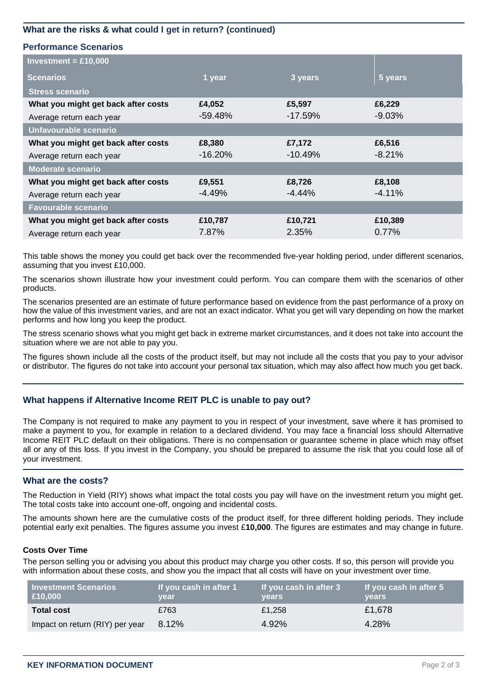# **What are the risks & what could I get in return? (continued)**

#### **Performance Scenarios**

| Investment = $£10,000$              |            |           |          |
|-------------------------------------|------------|-----------|----------|
| <b>Scenarios</b>                    | 1 year     | 3 years   | 5 years  |
| <b>Stress scenario</b>              |            |           |          |
| What you might get back after costs | £4,052     | £5,597    | £6,229   |
| Average return each year            | $-59.48\%$ | $-17.59%$ | $-9.03%$ |
| Unfavourable scenario               |            |           |          |
| What you might get back after costs | £8,380     | £7,172    | £6,516   |
| Average return each year            | $-16.20%$  | $-10.49%$ | $-8.21%$ |
| <b>Moderate scenario</b>            |            |           |          |
| What you might get back after costs | £9,551     | £8,726    | £8,108   |
| Average return each year            | $-4.49%$   | $-4.44%$  | $-4.11%$ |
| <b>Favourable scenario</b>          |            |           |          |
| What you might get back after costs | £10,787    | £10,721   | £10,389  |
| Average return each year            | 7.87%      | 2.35%     | 0.77%    |

This table shows the money you could get back over the recommended five-year holding period, under different scenarios, assuming that you invest £10,000.

The scenarios shown illustrate how your investment could perform. You can compare them with the scenarios of other products.

The scenarios presented are an estimate of future performance based on evidence from the past performance of a proxy on how the value of this investment varies, and are not an exact indicator. What you get will vary depending on how the market performs and how long you keep the product.

The stress scenario shows what you might get back in extreme market circumstances, and it does not take into account the situation where we are not able to pay you.

The figures shown include all the costs of the product itself, but may not include all the costs that you pay to your advisor or distributor. The figures do not take into account your personal tax situation, which may also affect how much you get back.

#### **What happens if Alternative Income REIT PLC is unable to pay out?**

The Company is not required to make any payment to you in respect of your investment, save where it has promised to make a payment to you, for example in relation to a declared dividend. You may face a financial loss should Alternative Income REIT PLC default on their obligations. There is no compensation or guarantee scheme in place which may offset all or any of this loss. If you invest in the Company, you should be prepared to assume the risk that you could lose all of your investment.

#### **What are the costs?**

The Reduction in Yield (RIY) shows what impact the total costs you pay will have on the investment return you might get. The total costs take into account one-off, ongoing and incidental costs.

The amounts shown here are the cumulative costs of the product itself, for three different holding periods. They include potential early exit penalties. The figures assume you invest £**10,000**. The figures are estimates and may change in future.

#### **Costs Over Time**

The person selling you or advising you about this product may charge you other costs. If so, this person will provide you with information about these costs, and show you the impact that all costs will have on your investment over time.

| <b>Investment Scenarios</b><br>£10,000 | If you cash in after 1<br>year | If you cash in after 3<br>vears | If you cash in after 5<br><b>vears</b> |
|----------------------------------------|--------------------------------|---------------------------------|----------------------------------------|
| <b>Total cost</b>                      | £763                           | £1,258                          | £1,678                                 |
| Impact on return (RIY) per year        | 8.12%                          | 4.92%                           | 4.28%                                  |